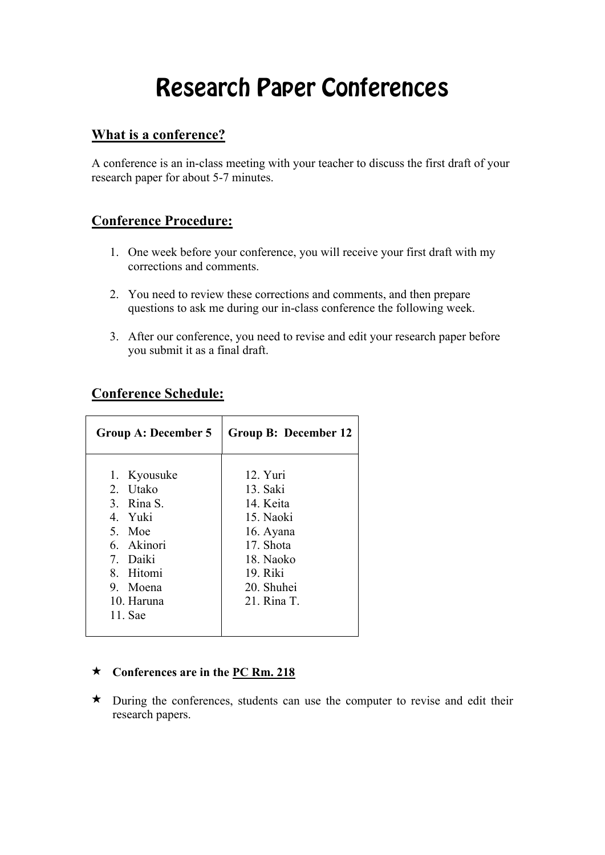# Research Paper Conferences

### **What is a conference?**

A conference is an in-class meeting with your teacher to discuss the first draft of your research paper for about 5-7 minutes.

### **Conference Procedure:**

- 1. One week before your conference, you will receive your first draft with my corrections and comments.
- 2. You need to review these corrections and comments, and then prepare questions to ask me during our in-class conference the following week.
- 3. After our conference, you need to revise and edit your research paper before you submit it as a final draft.

### **Conference Schedule:**

| Group A: December 5                                                                                                                   | <b>Group B: December 12</b>                                                                                                   |
|---------------------------------------------------------------------------------------------------------------------------------------|-------------------------------------------------------------------------------------------------------------------------------|
| 1. Kyousuke<br>2. Utako<br>3. Rina S.<br>4. Yuki<br>5. Moe<br>6 Akinori<br>7. Daiki<br>8. Hitomi<br>9. Moena<br>10. Haruna<br>11. Sae | 12. Yuri<br>13. Saki<br>14 Keita<br>15. Naoki<br>16. Ayana<br>17. Shota<br>18. Naoko<br>19. Riki<br>20. Shuhei<br>21. Rina T. |
|                                                                                                                                       |                                                                                                                               |

#### ★ **Conferences are in the PC Rm. 218**

★ During the conferences, students can use the computer to revise and edit their research papers.